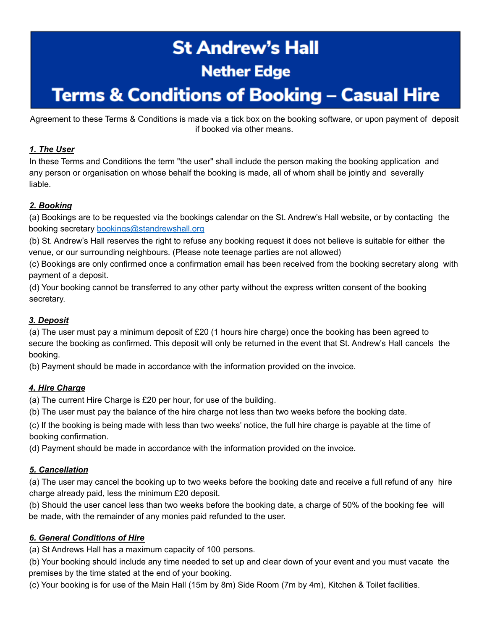# **St Andrew's Hall Nether Edge**

## **Terms & Conditions of Booking – Casual Hire**

Agreement to these Terms & Conditions is made via a tick box on the booking software, or upon payment of deposit if booked via other means.

#### *1. The User*

In these Terms and Conditions the term "the user" shall include the person making the booking application and any person or organisation on whose behalf the booking is made, all of whom shall be jointly and severally liable.

#### *2. Booking*

(a) Bookings are to be requested via the bookings calendar on the St. Andrew's Hall website, or by contacting the booking secretary bookings@standrewshall.org

(b) St. Andrew's Hall reserves the right to refuse any booking request it does not believe is suitable for either the venue, or our surrounding neighbours. (Please note teenage parties are not allowed)

(c) Bookings are only confirmed once a confirmation email has been received from the booking secretary along with payment of a deposit.

(d) Your booking cannot be transferred to any other party without the express written consent of the booking secretary.

#### *3. Deposit*

(a) The user must pay a minimum deposit of £20 (1 hours hire charge) once the booking has been agreed to secure the booking as confirmed. This deposit will only be returned in the event that St. Andrew's Hall cancels the booking.

(b) Payment should be made in accordance with the information provided on the invoice.

#### *4. Hire Charge*

(a) The current Hire Charge is £20 per hour, for use of the building.

(b) The user must pay the balance of the hire charge not less than two weeks before the booking date.

(c) If the booking is being made with less than two weeks' notice, the full hire charge is payable at the time of booking confirmation.

(d) Payment should be made in accordance with the information provided on the invoice.

#### *5. Cancellation*

(a) The user may cancel the booking up to two weeks before the booking date and receive a full refund of any hire charge already paid, less the minimum £20 deposit.

(b) Should the user cancel less than two weeks before the booking date, a charge of 50% of the booking fee will be made, with the remainder of any monies paid refunded to the user.

#### *6. General Conditions of Hire*

(a) St Andrews Hall has a maximum capacity of 100 persons.

(b) Your booking should include any time needed to set up and clear down of your event and you must vacate the premises by the time stated at the end of your booking.

(c) Your booking is for use of the Main Hall (15m by 8m) Side Room (7m by 4m), Kitchen & Toilet facilities.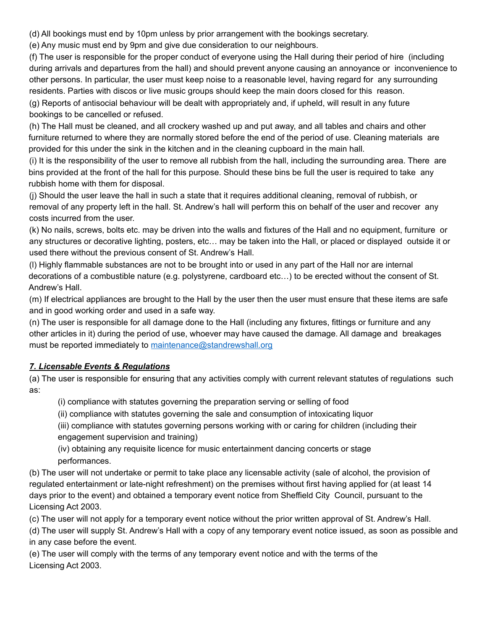(d) All bookings must end by 10pm unless by prior arrangement with the bookings secretary.

(e) Any music must end by 9pm and give due consideration to our neighbours.

(f) The user is responsible for the proper conduct of everyone using the Hall during their period of hire (including during arrivals and departures from the hall) and should prevent anyone causing an annoyance or inconvenience to other persons. In particular, the user must keep noise to a reasonable level, having regard for any surrounding residents. Parties with discos or live music groups should keep the main doors closed for this reason. (g) Reports of antisocial behaviour will be dealt with appropriately and, if upheld, will result in any future

bookings to be cancelled or refused.

(h) The Hall must be cleaned, and all crockery washed up and put away, and all tables and chairs and other furniture returned to where they are normally stored before the end of the period of use. Cleaning materials are provided for this under the sink in the kitchen and in the cleaning cupboard in the main hall.

(i) It is the responsibility of the user to remove all rubbish from the hall, including the surrounding area. There are bins provided at the front of the hall for this purpose. Should these bins be full the user is required to take any rubbish home with them for disposal.

(j) Should the user leave the hall in such a state that it requires additional cleaning, removal of rubbish, or removal of any property left in the hall. St. Andrew's hall will perform this on behalf of the user and recover any costs incurred from the user.

(k) No nails, screws, bolts etc. may be driven into the walls and fixtures of the Hall and no equipment, furniture or any structures or decorative lighting, posters, etc… may be taken into the Hall, or placed or displayed outside it or used there without the previous consent of St. Andrew's Hall.

(l) Highly flammable substances are not to be brought into or used in any part of the Hall nor are internal decorations of a combustible nature (e.g. polystyrene, cardboard etc…) to be erected without the consent of St. Andrew's Hall.

(m) If electrical appliances are brought to the Hall by the user then the user must ensure that these items are safe and in good working order and used in a safe way.

(n) The user is responsible for all damage done to the Hall (including any fixtures, fittings or furniture and any other articles in it) during the period of use, whoever may have caused the damage. All damage and breakages must be reported immediately to maintenance@standrewshall.org

#### *7. Licensable Events & Regulations*

(a) The user is responsible for ensuring that any activities comply with current relevant statutes of regulations such as:

(i) compliance with statutes governing the preparation serving or selling of food

(ii) compliance with statutes governing the sale and consumption of intoxicating liquor

(iii) compliance with statutes governing persons working with or caring for children (including their engagement supervision and training)

(iv) obtaining any requisite licence for music entertainment dancing concerts or stage performances.

(b) The user will not undertake or permit to take place any licensable activity (sale of alcohol, the provision of regulated entertainment or late-night refreshment) on the premises without first having applied for (at least 14 days prior to the event) and obtained a temporary event notice from Sheffield City Council, pursuant to the Licensing Act 2003.

(c) The user will not apply for a temporary event notice without the prior written approval of St. Andrew's Hall.

(d) The user will supply St. Andrew's Hall with a copy of any temporary event notice issued, as soon as possible and in any case before the event.

(e) The user will comply with the terms of any temporary event notice and with the terms of the Licensing Act 2003.